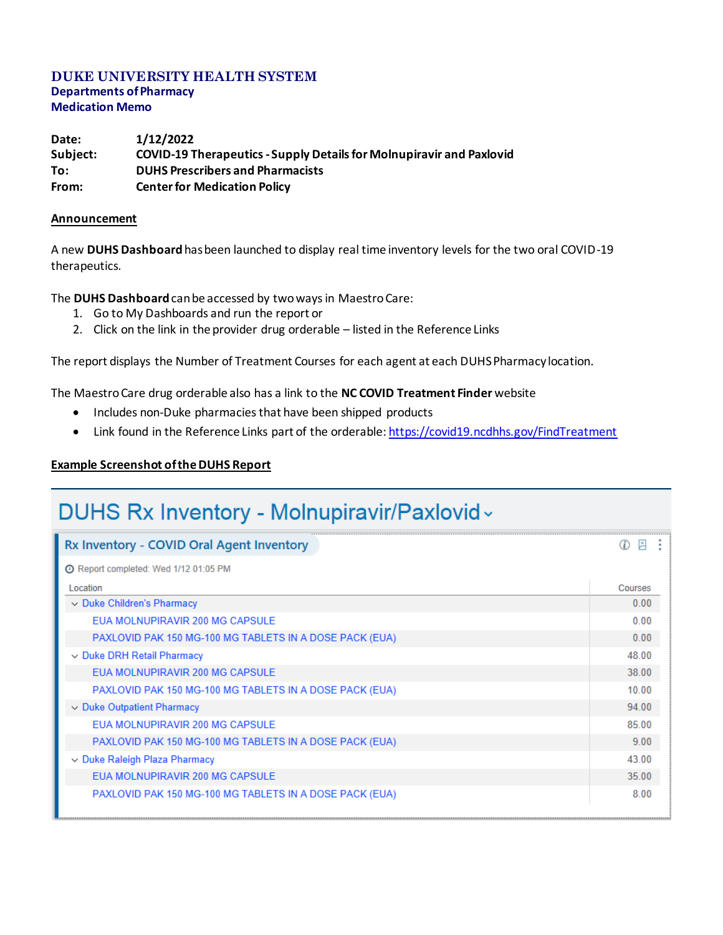#### **DUKE UNIVERSITY HEALTH SYSTEM Departments of Pharmacy Medication Memo**

**Date: 1/12/2022 Subject: COVID-19 Therapeutics - Supply Details for Molnupiravir and Paxlovid To: DUHS Prescribers and Pharmacists From: Center for Medication Policy**

#### **Announcement**

A new **DUHS Dashboard**has been launched to display real time inventory levels for the two oral COVID-19 therapeutics.

The **DUHS Dashboard**can be accessed by two ways in Maestro Care:

- 1. Go to My Dashboards and run the report or
- 2. Click on the link in the provider drug orderable listed in the Reference Links

The report displays the Number of Treatment Courses for each agent at each DUHS Pharmacy location.

The Maestro Care drug orderable also has a link to the **NC COVID Treatment Finder** website

- Includes non-Duke pharmacies that have been shipped products
- Link found in the Reference Links part of the orderable: <https://covid19.ncdhhs.gov/FindTreatment>

## **Example Screenshot of the DUHS Report**

# DUHS Rx Inventory - Molnupiravir/Paxlovid ~

| Rx Inventory - COVID Oral Agent Inventory               | 月<br>Ф<br>÷ |
|---------------------------------------------------------|-------------|
| <b>O</b> Report completed: Wed 1/12 01:05 PM            |             |
| Location                                                | Courses     |
| $\vee$ Duke Children's Pharmacy                         | 0.00        |
| <b>EUA MOLNUPIRAVIR 200 MG CAPSULE</b>                  | 0.00        |
| PAXLOVID PAK 150 MG-100 MG TABLETS IN A DOSE PACK (EUA) | 0.00        |
| $\vee$ Duke DRH Retail Pharmacy                         | 48.00       |
| EUA MOLNUPIRAVIR 200 MG CAPSULE                         | 38.00       |
| PAXLOVID PAK 150 MG-100 MG TABLETS IN A DOSE PACK (EUA) | 10.00       |
| $\vee$ Duke Outpatient Pharmacy                         | 94.00       |
| EUA MOLNUPIRAVIR 200 MG CAPSULE                         | 85.00       |
| PAXLOVID PAK 150 MG-100 MG TABLETS IN A DOSE PACK (EUA) | 9.00        |
| $\vee$ Duke Raleigh Plaza Pharmacy                      | 43.00       |
| EUA MOLNUPIRAVIR 200 MG CAPSULE                         | 35.00       |
| PAXLOVID PAK 150 MG-100 MG TABLETS IN A DOSE PACK (EUA) | 8.00        |